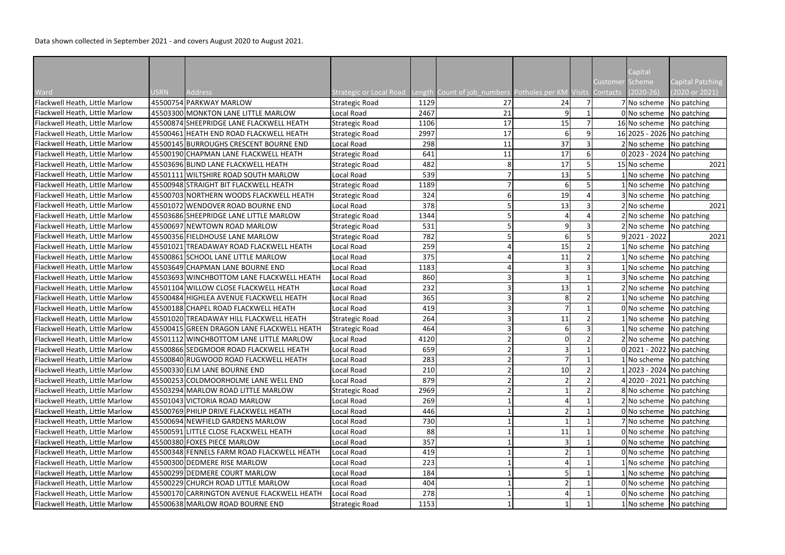Data shown collected in September 2021 - and covers August 2020 to August 2021.

|                                |             |                                            |                         |      |                                                             |    |                |                        | Capital         |                              |
|--------------------------------|-------------|--------------------------------------------|-------------------------|------|-------------------------------------------------------------|----|----------------|------------------------|-----------------|------------------------------|
|                                |             |                                            |                         |      |                                                             |    |                | <b>Customer Scheme</b> |                 | Capital Patching             |
| Ward                           | <b>USRN</b> | <b>Address</b>                             | Strategic or Local Road |      | Length Count of job_numbers Potholes per KM Visits Contacts |    | $\overline{7}$ |                        | $(2020-26)$     | (2020 or 2021)               |
| Flackwell Heath, Little Marlow |             | 45500754 PARKWAY MARLOW                    | <b>Strategic Road</b>   | 1129 | 27                                                          | 24 |                |                        | 7 No scheme     | No patching                  |
| Flackwell Heath, Little Marlow |             | 45503300 MONKTON LANE LITTLE MARLOW        | Local Road              | 2467 | 21                                                          | q  |                |                        |                 | $0 $ No scheme   No patching |
| Flackwell Heath, Little Marlow |             | 45500874 SHEEPRIDGE LANE FLACKWELL HEATH   | <b>Strategic Road</b>   | 1106 | 17                                                          | 15 |                |                        |                 | 16 No scheme No patching     |
| Flackwell Heath, Little Marlow |             | 45500461 HEATH END ROAD FLACKWELL HEATH    | <b>Strategic Road</b>   | 2997 | 17                                                          | 6  | ٩              |                        |                 | 16 2025 - 2026 No patching   |
| Flackwell Heath, Little Marlow |             | 45500145 BURROUGHS CRESCENT BOURNE END     | Local Road              | 298  | 11                                                          | 37 |                |                        |                 | 2 No scheme No patching      |
| Flackwell Heath, Little Marlow |             | 45500190 CHAPMAN LANE FLACKWELL HEATH      | <b>Strategic Road</b>   | 641  | 11                                                          | 17 | 6              |                        |                 | $0 2023 - 2024 $ No patching |
| Flackwell Heath, Little Marlow |             | 45503696 BLIND LANE FLACKWELL HEATH        | <b>Strategic Road</b>   | 482  |                                                             | 17 |                |                        | 15 No scheme    | 2021                         |
| Flackwell Heath, Little Marlow |             | 45501111 WILTSHIRE ROAD SOUTH MARLOW       | Local Road              | 539  |                                                             | 13 |                |                        |                 | 1 No scheme No patching      |
| Flackwell Heath, Little Marlow |             | 45500948 STRAIGHT BIT FLACKWELL HEATH      | <b>Strategic Road</b>   | 1189 |                                                             | 6  |                |                        |                 | $1 $ No scheme   No patching |
| Flackwell Heath, Little Marlow |             | 45500703 NORTHERN WOODS FLACKWELL HEATH    | <b>Strategic Road</b>   | 324  |                                                             | 19 |                |                        |                 | 3 No scheme No patching      |
| Flackwell Heath, Little Marlow |             | 45501072 WENDOVER ROAD BOURNE END          | Local Road              | 378  |                                                             | 13 |                |                        | 2 No scheme     | 2021                         |
| Flackwell Heath, Little Marlow |             | 45503686 SHEEPRIDGE LANE LITTLE MARLOW     | <b>Strategic Road</b>   | 1344 |                                                             |    |                |                        |                 | 2 No scheme No patching      |
| Flackwell Heath, Little Marlow |             | 45500697 NEWTOWN ROAD MARLOW               | <b>Strategic Road</b>   | 531  |                                                             | Ω  |                |                        |                 | $2 No scheme$ No patching    |
| Flackwell Heath, Little Marlow |             | 45500356 FIELDHOUSE LANE MARLOW            | <b>Strategic Road</b>   | 782  |                                                             | 6  |                |                        | $9 2021 - 2022$ | 2021                         |
| Flackwell Heath, Little Marlow |             | 45501021 TREADAWAY ROAD FLACKWELL HEATH    | Local Road              | 259  |                                                             | 15 |                |                        |                 | 1 No scheme No patching      |
| Flackwell Heath, Little Marlow |             | 45500861 SCHOOL LANE LITTLE MARLOW         | Local Road              | 375  |                                                             | 11 |                |                        |                 | $1 $ No scheme   No patching |
| Flackwell Heath, Little Marlow |             | 45503649 CHAPMAN LANE BOURNE END           | Local Road              | 1183 |                                                             |    |                |                        |                 | $1 $ No scheme   No patching |
| Flackwell Heath, Little Marlow |             | 45503693 WINCHBOTTOM LANE FLACKWELL HEATH  | Local Road              | 860  |                                                             |    |                |                        |                 | 3 No scheme No patching      |
| Flackwell Heath, Little Marlow |             | 45501104 WILLOW CLOSE FLACKWELL HEATH      | Local Road              | 232  |                                                             | 13 |                |                        |                 | 2 No scheme No patching      |
| Flackwell Heath, Little Marlow |             | 45500484 HIGHLEA AVENUE FLACKWELL HEATH    | Local Road              | 365  |                                                             |    |                |                        |                 | 1 No scheme No patching      |
| Flackwell Heath, Little Marlow |             | 45500188 CHAPEL ROAD FLACKWELL HEATH       | Local Road              | 419  |                                                             |    |                |                        | 0 No scheme     | No patching                  |
| Flackwell Heath, Little Marlow |             | 45501020 TREADAWAY HILL FLACKWELL HEATH    | <b>Strategic Road</b>   | 264  |                                                             | 11 |                |                        |                 | $1 $ No scheme   No patching |
| Flackwell Heath, Little Marlow |             | 45500415 GREEN DRAGON LANE FLACKWELL HEATH | <b>Strategic Road</b>   | 464  |                                                             |    |                |                        |                 | 1 No scheme No patching      |
| Flackwell Heath, Little Marlow |             | 45501112 WINCHBOTTOM LANE LITTLE MARLOW    | Local Road              | 4120 |                                                             |    |                |                        |                 | 2 No scheme No patching      |
| Flackwell Heath, Little Marlow |             | 45500866 SEDGMOOR ROAD FLACKWELL HEATH     | Local Road              | 659  |                                                             |    |                |                        |                 | 0 2021 - 2022 No patching    |
| Flackwell Heath, Little Marlow |             | 45500840 RUGWOOD ROAD FLACKWELL HEATH      | Local Road              | 283  |                                                             |    |                |                        |                 | $1 $ No scheme   No patching |
| Flackwell Heath, Little Marlow |             | 45500330 ELM LANE BOURNE END               | Local Road              | 210  |                                                             | 10 |                |                        |                 | 1 2023 - 2024   No patching  |
| Flackwell Heath, Little Marlow |             | 45500253 COLDMOORHOLME LANE WELL END       | Local Road              | 879  |                                                             |    |                |                        |                 | 4 2020 - 2021 No patching    |
| Flackwell Heath, Little Marlow |             | 45503294 MARLOW ROAD LITTLE MARLOW         | <b>Strategic Road</b>   | 2969 |                                                             |    |                |                        |                 | 8 No scheme No patching      |
| Flackwell Heath, Little Marlow |             | 45501043 VICTORIA ROAD MARLOW              | Local Road              | 269  |                                                             |    |                |                        |                 | 2 No scheme No patching      |
| Flackwell Heath, Little Marlow |             | 45500769 PHILIP DRIVE FLACKWELL HEATH      | Local Road              | 446  |                                                             |    |                |                        |                 | 0 No scheme No patching      |
| Flackwell Heath, Little Marlow |             | 45500694 NEWFIELD GARDENS MARLOW           | Local Road              | 730  |                                                             |    |                |                        |                 | 7 No scheme No patching      |
| Flackwell Heath, Little Marlow |             | 45500591 LITTLE CLOSE FLACKWELL HEATH      | Local Road              | 88   |                                                             | 11 |                |                        |                 | 0 No scheme No patching      |
| Flackwell Heath, Little Marlow |             | 45500380 FOXES PIECE MARLOW                | Local Road              | 357  |                                                             |    |                |                        |                 | 0 No scheme No patching      |
| Flackwell Heath, Little Marlow |             | 45500348 FENNELS FARM ROAD FLACKWELL HEATH | Local Road              | 419  |                                                             |    |                |                        |                 | 0 No scheme No patching      |
|                                |             |                                            |                         |      |                                                             |    |                |                        |                 |                              |
| Flackwell Heath, Little Marlow |             | 45500300 DEDMERE RISE MARLOW               | Local Road              | 223  |                                                             |    |                |                        |                 | $1 $ No scheme   No patching |
| Flackwell Heath, Little Marlow |             | 45500299 DEDMERE COURT MARLOW              | Local Road              | 184  |                                                             |    |                |                        |                 | $1 $ No scheme   No patching |
| Flackwell Heath, Little Marlow |             | 45500229 CHURCH ROAD LITTLE MARLOW         | Local Road              | 404  |                                                             |    |                |                        |                 | 0 No scheme No patching      |
| Flackwell Heath, Little Marlow |             | 45500170 CARRINGTON AVENUE FLACKWELL HEATH | Local Road              | 278  |                                                             |    |                |                        |                 | 0 No scheme No patching      |
| Flackwell Heath, Little Marlow |             | 45500638 MARLOW ROAD BOURNE END            | <b>Strategic Road</b>   | 1153 |                                                             |    |                |                        |                 | 1 No scheme No patching      |